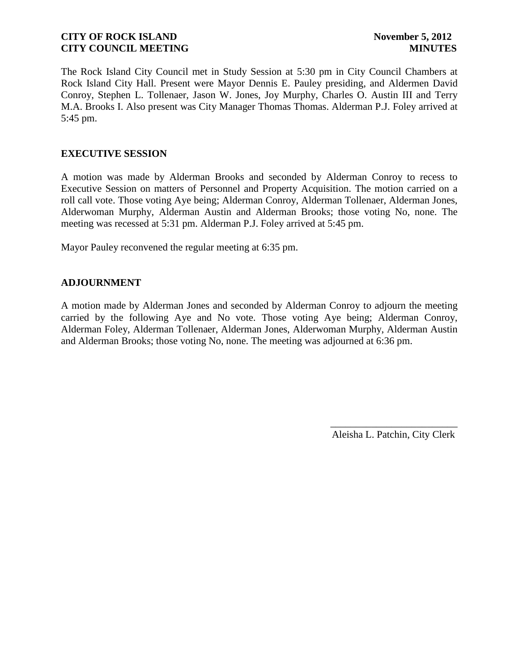The Rock Island City Council met in Study Session at 5:30 pm in City Council Chambers at Rock Island City Hall. Present were Mayor Dennis E. Pauley presiding, and Aldermen David Conroy, Stephen L. Tollenaer, Jason W. Jones, Joy Murphy, Charles O. Austin III and Terry M.A. Brooks I. Also present was City Manager Thomas Thomas. Alderman P.J. Foley arrived at 5:45 pm.

## **EXECUTIVE SESSION**

A motion was made by Alderman Brooks and seconded by Alderman Conroy to recess to Executive Session on matters of Personnel and Property Acquisition. The motion carried on a roll call vote. Those voting Aye being; Alderman Conroy, Alderman Tollenaer, Alderman Jones, Alderwoman Murphy, Alderman Austin and Alderman Brooks; those voting No, none. The meeting was recessed at 5:31 pm. Alderman P.J. Foley arrived at 5:45 pm.

Mayor Pauley reconvened the regular meeting at 6:35 pm.

# **ADJOURNMENT**

A motion made by Alderman Jones and seconded by Alderman Conroy to adjourn the meeting carried by the following Aye and No vote. Those voting Aye being; Alderman Conroy, Alderman Foley, Alderman Tollenaer, Alderman Jones, Alderwoman Murphy, Alderman Austin and Alderman Brooks; those voting No, none. The meeting was adjourned at 6:36 pm.

> \_\_\_\_\_\_\_\_\_\_\_\_\_\_\_\_\_\_\_\_\_\_\_\_\_ Aleisha L. Patchin, City Clerk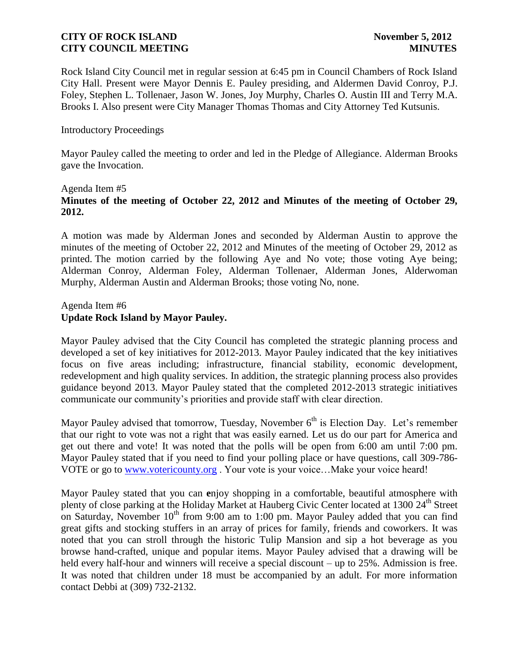Rock Island City Council met in regular session at 6:45 pm in Council Chambers of Rock Island City Hall. Present were Mayor Dennis E. Pauley presiding, and Aldermen David Conroy, P.J. Foley, Stephen L. Tollenaer, Jason W. Jones, Joy Murphy, Charles O. Austin III and Terry M.A. Brooks I. Also present were City Manager Thomas Thomas and City Attorney Ted Kutsunis.

#### Introductory Proceedings

Mayor Pauley called the meeting to order and led in the Pledge of Allegiance. Alderman Brooks gave the Invocation.

### Agenda Item #5 **Minutes of the meeting of October 22, 2012 and Minutes of the meeting of October 29, 2012.**

A motion was made by Alderman Jones and seconded by Alderman Austin to approve the minutes of the meeting of October 22, 2012 and Minutes of the meeting of October 29, 2012 as printed. The motion carried by the following Aye and No vote; those voting Aye being; Alderman Conroy, Alderman Foley, Alderman Tollenaer, Alderman Jones, Alderwoman Murphy, Alderman Austin and Alderman Brooks; those voting No, none.

#### Agenda Item #6 **Update Rock Island by Mayor Pauley.**

Mayor Pauley advised that the City Council has completed the strategic planning process and developed a set of key initiatives for 2012-2013. Mayor Pauley indicated that the key initiatives focus on five areas including; infrastructure, financial stability, economic development, redevelopment and high quality services. In addition, the strategic planning process also provides guidance beyond 2013. Mayor Pauley stated that the completed 2012-2013 strategic initiatives communicate our community's priorities and provide staff with clear direction.

Mayor Pauley advised that tomorrow, Tuesday, November 6<sup>th</sup> is Election Day. Let's remember that our right to vote was not a right that was easily earned. Let us do our part for America and get out there and vote! It was noted that the polls will be open from 6:00 am until 7:00 pm. Mayor Pauley stated that if you need to find your polling place or have questions, call 309-786- VOTE or go to [www.votericounty.org](http://www.votericounty.org/) . Your vote is your voice…Make your voice heard!

Mayor Pauley stated that you can **e**njoy shopping in a comfortable, beautiful atmosphere with plenty of close parking at the Holiday Market at Hauberg Civic Center located at 1300 24<sup>th</sup> Street on Saturday, November  $10^{th}$  from 9:00 am to 1:00 pm. Mayor Pauley added that you can find great gifts and stocking stuffers in an array of prices for family, friends and coworkers. It was noted that you can stroll through the historic Tulip Mansion and sip a hot beverage as you browse hand-crafted, unique and popular items. Mayor Pauley advised that a drawing will be held every half-hour and winners will receive a special discount – up to 25%. Admission is free. It was noted that children under 18 must be accompanied by an adult. For more information contact Debbi at (309) 732-2132.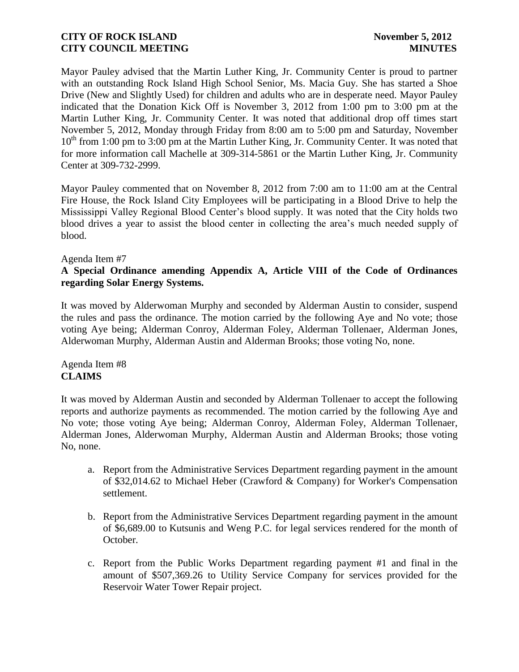Mayor Pauley advised that the Martin Luther King, Jr. Community Center is proud to partner with an outstanding Rock Island High School Senior, Ms. Macia Guy. She has started a Shoe Drive (New and Slightly Used) for children and adults who are in desperate need. Mayor Pauley indicated that the Donation Kick Off is November 3, 2012 from 1:00 pm to 3:00 pm at the Martin Luther King, Jr. Community Center. It was noted that additional drop off times start November 5, 2012, Monday through Friday from 8:00 am to 5:00 pm and Saturday, November  $10<sup>th</sup>$  from 1:00 pm to 3:00 pm at the Martin Luther King, Jr. Community Center. It was noted that for more information call Machelle at 309-314-5861 or the Martin Luther King, Jr. Community Center at 309-732-2999.

Mayor Pauley commented that on November 8, 2012 from 7:00 am to 11:00 am at the Central Fire House, the Rock Island City Employees will be participating in a Blood Drive to help the Mississippi Valley Regional Blood Center's blood supply. It was noted that the City holds two blood drives a year to assist the blood center in collecting the area's much needed supply of blood.

#### Agenda Item #7

## **A Special Ordinance amending Appendix A, Article VIII of the Code of Ordinances regarding Solar Energy Systems.**

It was moved by Alderwoman Murphy and seconded by Alderman Austin to consider, suspend the rules and pass the ordinance. The motion carried by the following Aye and No vote; those voting Aye being; Alderman Conroy, Alderman Foley, Alderman Tollenaer, Alderman Jones, Alderwoman Murphy, Alderman Austin and Alderman Brooks; those voting No, none.

### Agenda Item #8 **CLAIMS**

It was moved by Alderman Austin and seconded by Alderman Tollenaer to accept the following reports and authorize payments as recommended. The motion carried by the following Aye and No vote; those voting Aye being; Alderman Conroy, Alderman Foley, Alderman Tollenaer, Alderman Jones, Alderwoman Murphy, Alderman Austin and Alderman Brooks; those voting No, none.

- a. Report from the Administrative Services Department regarding payment in the amount of \$32,014.62 to Michael Heber (Crawford & Company) for Worker's Compensation settlement.
- b. Report from the Administrative Services Department regarding payment in the amount of \$6,689.00 to Kutsunis and Weng P.C. for legal services rendered for the month of October.
- c. Report from the Public Works Department regarding payment #1 and final in the amount of \$507,369.26 to Utility Service Company for services provided for the Reservoir Water Tower Repair project.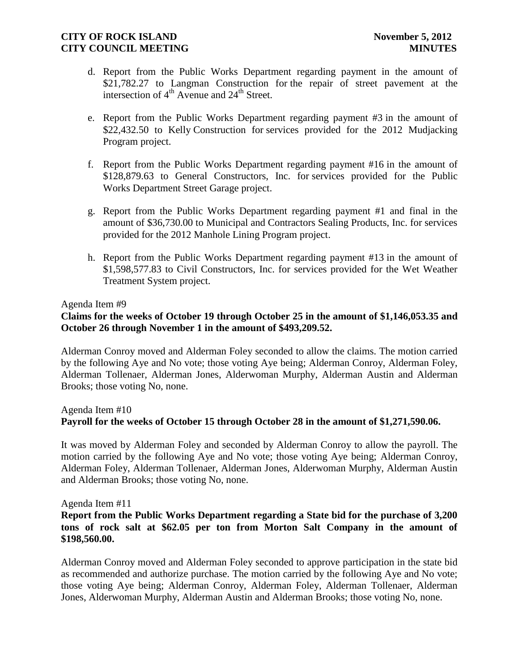- d. Report from the Public Works Department regarding payment in the amount of \$21,782.27 to Langman Construction for the repair of street pavement at the intersection of  $4<sup>th</sup>$  Avenue and  $24<sup>th</sup>$  Street.
- e. Report from the Public Works Department regarding payment #3 in the amount of \$22,432.50 to Kelly Construction for services provided for the 2012 Mudjacking Program project.
- f. Report from the Public Works Department regarding payment #16 in the amount of \$128,879.63 to General Constructors, Inc. for services provided for the Public Works Department Street Garage project.
- g. Report from the Public Works Department regarding payment #1 and final in the amount of \$36,730.00 to Municipal and Contractors Sealing Products, Inc. for services provided for the 2012 Manhole Lining Program project.
- h. Report from the Public Works Department regarding payment #13 in the amount of \$1,598,577.83 to Civil Constructors, Inc. for services provided for the Wet Weather Treatment System project.

#### Agenda Item #9

# **Claims for the weeks of October 19 through October 25 in the amount of \$1,146,053.35 and October 26 through November 1 in the amount of \$493,209.52.**

Alderman Conroy moved and Alderman Foley seconded to allow the claims. The motion carried by the following Aye and No vote; those voting Aye being; Alderman Conroy, Alderman Foley, Alderman Tollenaer, Alderman Jones, Alderwoman Murphy, Alderman Austin and Alderman Brooks; those voting No, none.

# Agenda Item #10 **Payroll for the weeks of October 15 through October 28 in the amount of \$1,271,590.06.**

It was moved by Alderman Foley and seconded by Alderman Conroy to allow the payroll. The motion carried by the following Aye and No vote; those voting Aye being; Alderman Conroy, Alderman Foley, Alderman Tollenaer, Alderman Jones, Alderwoman Murphy, Alderman Austin and Alderman Brooks; those voting No, none.

#### Agenda Item #11

## **Report from the Public Works Department regarding a State bid for the purchase of 3,200 tons of rock salt at \$62.05 per ton from Morton Salt Company in the amount of \$198,560.00.**

Alderman Conroy moved and Alderman Foley seconded to approve participation in the state bid as recommended and authorize purchase. The motion carried by the following Aye and No vote; those voting Aye being; Alderman Conroy, Alderman Foley, Alderman Tollenaer, Alderman Jones, Alderwoman Murphy, Alderman Austin and Alderman Brooks; those voting No, none.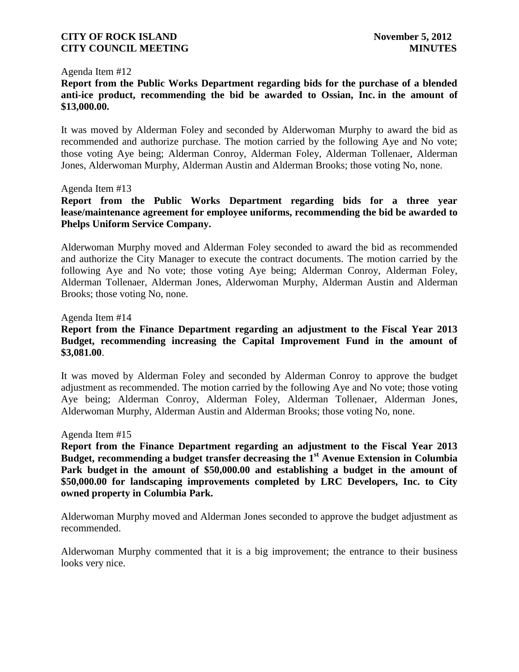#### Agenda Item #12

**Report from the Public Works Department regarding bids for the purchase of a blended anti-ice product, recommending the bid be awarded to Ossian, Inc. in the amount of \$13,000.00.**

It was moved by Alderman Foley and seconded by Alderwoman Murphy to award the bid as recommended and authorize purchase. The motion carried by the following Aye and No vote; those voting Aye being; Alderman Conroy, Alderman Foley, Alderman Tollenaer, Alderman Jones, Alderwoman Murphy, Alderman Austin and Alderman Brooks; those voting No, none.

#### Agenda Item #13

**Report from the Public Works Department regarding bids for a three year lease/maintenance agreement for employee uniforms, recommending the bid be awarded to Phelps Uniform Service Company.**

Alderwoman Murphy moved and Alderman Foley seconded to award the bid as recommended and authorize the City Manager to execute the contract documents. The motion carried by the following Aye and No vote; those voting Aye being; Alderman Conroy, Alderman Foley, Alderman Tollenaer, Alderman Jones, Alderwoman Murphy, Alderman Austin and Alderman Brooks; those voting No, none.

#### Agenda Item #14

## **Report from the Finance Department regarding an adjustment to the Fiscal Year 2013 Budget, recommending increasing the Capital Improvement Fund in the amount of \$3,081.00**.

It was moved by Alderman Foley and seconded by Alderman Conroy to approve the budget adjustment as recommended. The motion carried by the following Aye and No vote; those voting Aye being; Alderman Conroy, Alderman Foley, Alderman Tollenaer, Alderman Jones, Alderwoman Murphy, Alderman Austin and Alderman Brooks; those voting No, none.

#### Agenda Item #15

**Report from the Finance Department regarding an adjustment to the Fiscal Year 2013 Budget, recommending a budget transfer decreasing the 1st Avenue Extension in Columbia Park budget in the amount of \$50,000.00 and establishing a budget in the amount of \$50,000.00 for landscaping improvements completed by LRC Developers, Inc. to City owned property in Columbia Park.**

Alderwoman Murphy moved and Alderman Jones seconded to approve the budget adjustment as recommended.

Alderwoman Murphy commented that it is a big improvement; the entrance to their business looks very nice.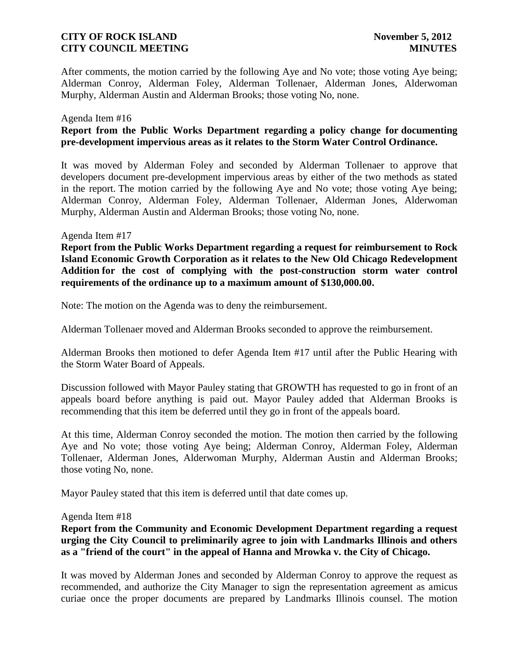After comments, the motion carried by the following Aye and No vote; those voting Aye being; Alderman Conroy, Alderman Foley, Alderman Tollenaer, Alderman Jones, Alderwoman Murphy, Alderman Austin and Alderman Brooks; those voting No, none.

#### Agenda Item #16

## **Report from the Public Works Department regarding a policy change for documenting pre-development impervious areas as it relates to the Storm Water Control Ordinance.**

It was moved by Alderman Foley and seconded by Alderman Tollenaer to approve that developers document pre-development impervious areas by either of the two methods as stated in the report. The motion carried by the following Aye and No vote; those voting Aye being; Alderman Conroy, Alderman Foley, Alderman Tollenaer, Alderman Jones, Alderwoman Murphy, Alderman Austin and Alderman Brooks; those voting No, none.

#### Agenda Item #17

**Report from the Public Works Department regarding a request for reimbursement to Rock Island Economic Growth Corporation as it relates to the New Old Chicago Redevelopment Addition for the cost of complying with the post-construction storm water control requirements of the ordinance up to a maximum amount of \$130,000.00.**

Note: The motion on the Agenda was to deny the reimbursement.

Alderman Tollenaer moved and Alderman Brooks seconded to approve the reimbursement.

Alderman Brooks then motioned to defer Agenda Item #17 until after the Public Hearing with the Storm Water Board of Appeals.

Discussion followed with Mayor Pauley stating that GROWTH has requested to go in front of an appeals board before anything is paid out. Mayor Pauley added that Alderman Brooks is recommending that this item be deferred until they go in front of the appeals board.

At this time, Alderman Conroy seconded the motion. The motion then carried by the following Aye and No vote; those voting Aye being; Alderman Conroy, Alderman Foley, Alderman Tollenaer, Alderman Jones, Alderwoman Murphy, Alderman Austin and Alderman Brooks; those voting No, none.

Mayor Pauley stated that this item is deferred until that date comes up.

#### Agenda Item #18

**Report from the Community and Economic Development Department regarding a request urging the City Council to preliminarily agree to join with Landmarks Illinois and others as a "friend of the court" in the appeal of Hanna and Mrowka v. the City of Chicago.**

It was moved by Alderman Jones and seconded by Alderman Conroy to approve the request as recommended, and authorize the City Manager to sign the representation agreement as amicus curiae once the proper documents are prepared by Landmarks Illinois counsel. The motion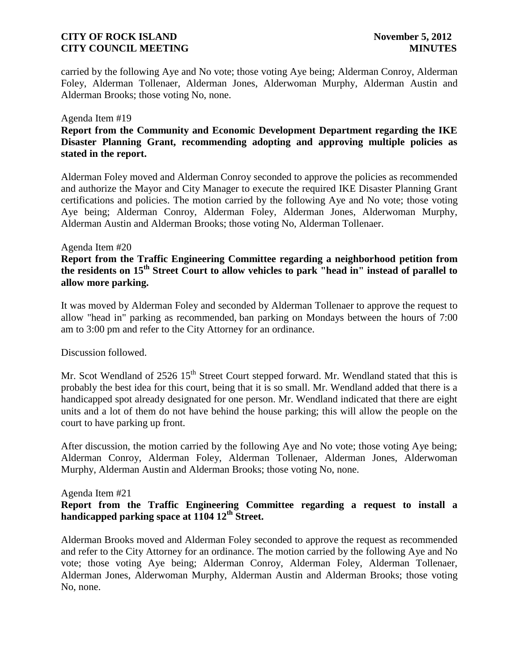carried by the following Aye and No vote; those voting Aye being; Alderman Conroy, Alderman Foley, Alderman Tollenaer, Alderman Jones, Alderwoman Murphy, Alderman Austin and Alderman Brooks; those voting No, none.

#### Agenda Item #19

# **Report from the Community and Economic Development Department regarding the IKE Disaster Planning Grant, recommending adopting and approving multiple policies as stated in the report.**

Alderman Foley moved and Alderman Conroy seconded to approve the policies as recommended and authorize the Mayor and City Manager to execute the required IKE Disaster Planning Grant certifications and policies. The motion carried by the following Aye and No vote; those voting Aye being; Alderman Conroy, Alderman Foley, Alderman Jones, Alderwoman Murphy, Alderman Austin and Alderman Brooks; those voting No, Alderman Tollenaer.

#### Agenda Item #20

## **Report from the Traffic Engineering Committee regarding a neighborhood petition from the residents on 15th Street Court to allow vehicles to park "head in" instead of parallel to allow more parking.**

It was moved by Alderman Foley and seconded by Alderman Tollenaer to approve the request to allow "head in" parking as recommended, ban parking on Mondays between the hours of 7:00 am to 3:00 pm and refer to the City Attorney for an ordinance.

Discussion followed.

Mr. Scot Wendland of  $2526 \times 15^{th}$  Street Court stepped forward. Mr. Wendland stated that this is probably the best idea for this court, being that it is so small. Mr. Wendland added that there is a handicapped spot already designated for one person. Mr. Wendland indicated that there are eight units and a lot of them do not have behind the house parking; this will allow the people on the court to have parking up front.

After discussion, the motion carried by the following Aye and No vote; those voting Aye being; Alderman Conroy, Alderman Foley, Alderman Tollenaer, Alderman Jones, Alderwoman Murphy, Alderman Austin and Alderman Brooks; those voting No, none.

### Agenda Item #21

## **Report from the Traffic Engineering Committee regarding a request to install a handicapped parking space at 1104 12th Street.**

Alderman Brooks moved and Alderman Foley seconded to approve the request as recommended and refer to the City Attorney for an ordinance. The motion carried by the following Aye and No vote; those voting Aye being; Alderman Conroy, Alderman Foley, Alderman Tollenaer, Alderman Jones, Alderwoman Murphy, Alderman Austin and Alderman Brooks; those voting No, none.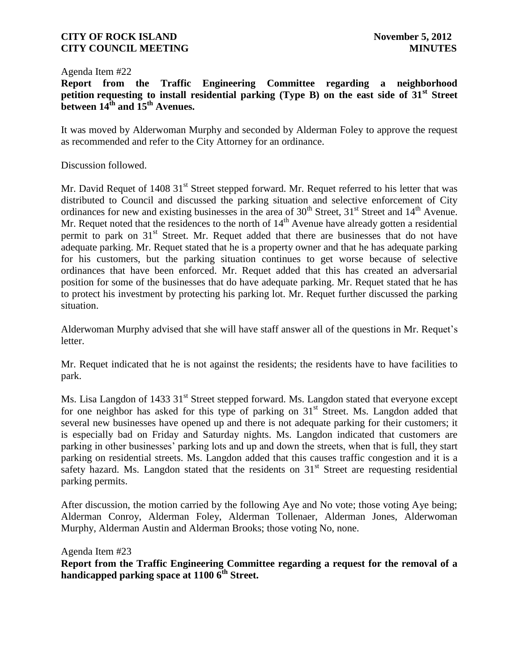#### Agenda Item #22

**Report from the Traffic Engineering Committee regarding a neighborhood petition requesting to install residential parking (Type B) on the east side of 31st Street between 14th and 15th Avenues.**

It was moved by Alderwoman Murphy and seconded by Alderman Foley to approve the request as recommended and refer to the City Attorney for an ordinance.

Discussion followed.

Mr. David Requet of 1408 31<sup>st</sup> Street stepped forward. Mr. Requet referred to his letter that was distributed to Council and discussed the parking situation and selective enforcement of City ordinances for new and existing businesses in the area of  $30<sup>th</sup>$  Street,  $31<sup>st</sup>$  Street and  $14<sup>th</sup>$  Avenue. Mr. Requet noted that the residences to the north of 14<sup>th</sup> Avenue have already gotten a residential permit to park on 31<sup>st</sup> Street. Mr. Requet added that there are businesses that do not have adequate parking. Mr. Requet stated that he is a property owner and that he has adequate parking for his customers, but the parking situation continues to get worse because of selective ordinances that have been enforced. Mr. Requet added that this has created an adversarial position for some of the businesses that do have adequate parking. Mr. Requet stated that he has to protect his investment by protecting his parking lot. Mr. Requet further discussed the parking situation.

Alderwoman Murphy advised that she will have staff answer all of the questions in Mr. Requet's letter.

Mr. Requet indicated that he is not against the residents; the residents have to have facilities to park.

Ms. Lisa Langdon of 1433 31<sup>st</sup> Street stepped forward. Ms. Langdon stated that everyone except for one neighbor has asked for this type of parking on  $31<sup>st</sup>$  Street. Ms. Langdon added that several new businesses have opened up and there is not adequate parking for their customers; it is especially bad on Friday and Saturday nights. Ms. Langdon indicated that customers are parking in other businesses' parking lots and up and down the streets, when that is full, they start parking on residential streets. Ms. Langdon added that this causes traffic congestion and it is a safety hazard. Ms. Langdon stated that the residents on  $31<sup>st</sup>$  Street are requesting residential parking permits.

After discussion, the motion carried by the following Aye and No vote; those voting Aye being; Alderman Conroy, Alderman Foley, Alderman Tollenaer, Alderman Jones, Alderwoman Murphy, Alderman Austin and Alderman Brooks; those voting No, none.

Agenda Item #23 **Report from the Traffic Engineering Committee regarding a request for the removal of a handicapped parking space at 1100 6th Street.**